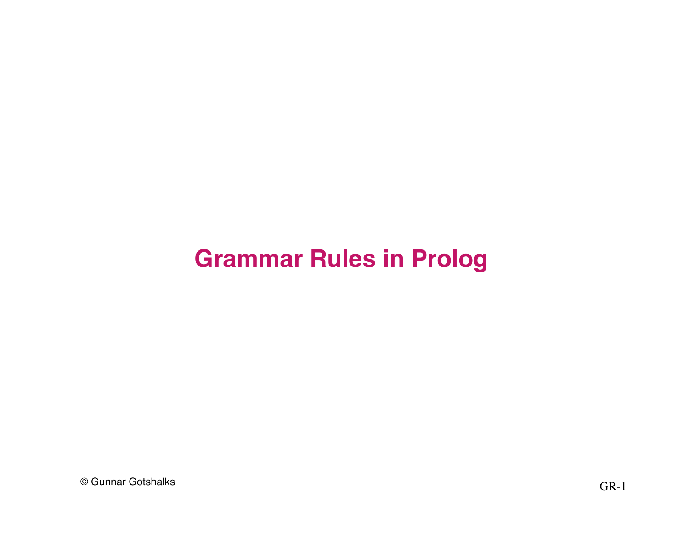#### **Grammar Rules in Prolog**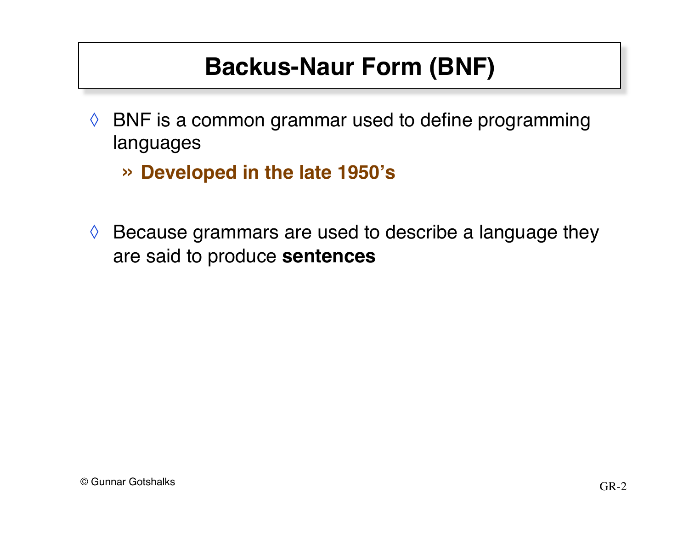# **Backus-Naur Form (BNF)**

- $\Diamond$  BNF is a common grammar used to define programming languages
	- » **Developed in the late 1950's**
- $\Diamond$  Because grammars are used to describe a language they are said to produce **sentences**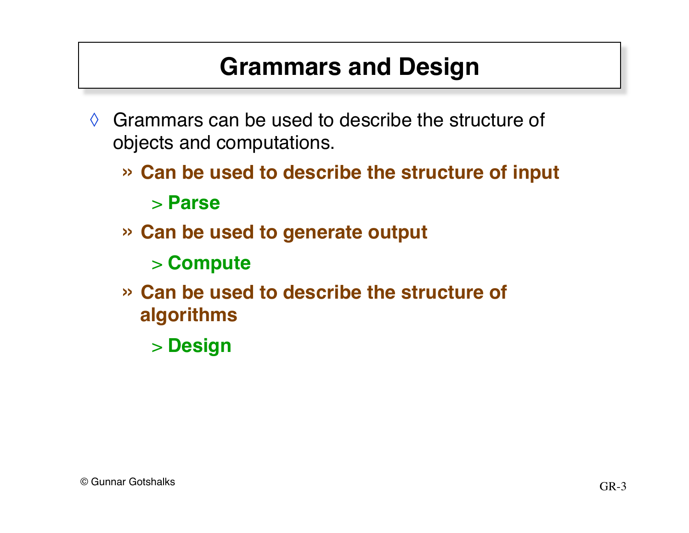# **Grammars and Design**

- $\Diamond$  Grammars can be used to describe the structure of objects and computations.
	- » **Can be used to describe the structure of input** > **Parse**
	- » **Can be used to generate output**
		- > **Compute**
	- » **Can be used to describe the structure of algorithms**
		- > **Design**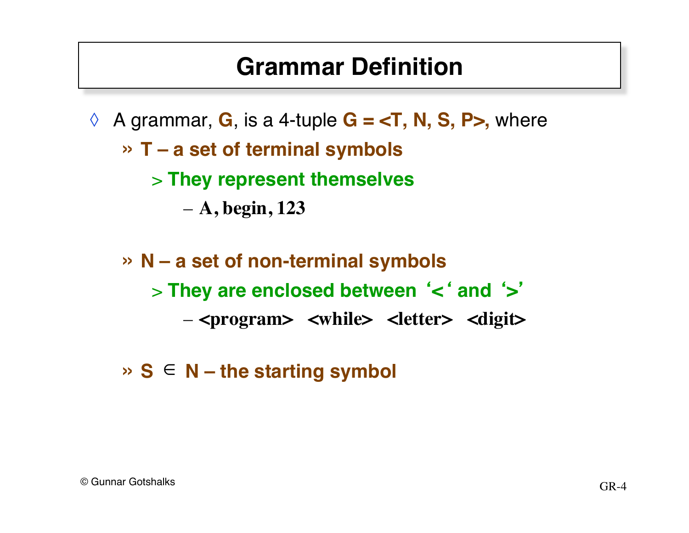#### **Grammar Definition**

- ◊ A grammar, **G**, is a 4-tuple **G = <T, N, S, P>,** where
	- » **T a set of terminal symbols**
		- > **They represent themselves**
			- **A, begin, 123**
	- » **N a set of non-terminal symbols** > **They are enclosed between** ' **<** ' **and** ' **>**' – **<program> <while> <letter> <digit>**
	- $\triangleright$  **S**  $\in$  **N** the starting symbol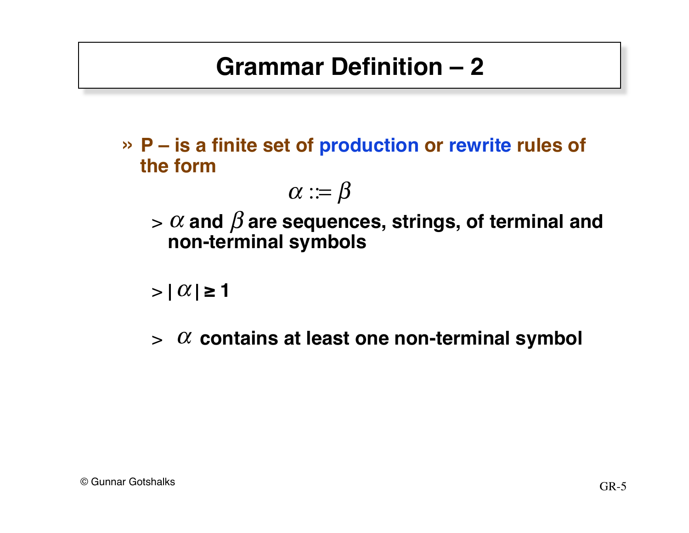# **Grammar Definition – 2**

» **P – is a finite set of production or rewrite rules of the form** 

$$
\alpha:=\beta
$$

 $> \alpha$  and  $\beta$  are sequences, strings, of terminal and **non-terminal symbols**

 $>$  |  $\alpha$  |  $\geq$  1

 $>$   $\alpha$  contains at least one non-terminal symbol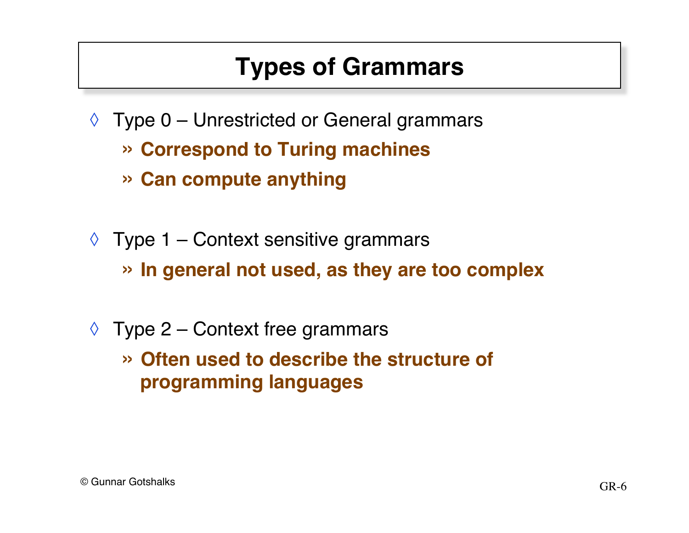# **Types of Grammars**

- $\Diamond$  Type 0 Unrestricted or General grammars
	- » **Correspond to Turing machines**
	- » **Can compute anything**
- $\Diamond$  Type 1 Context sensitive grammars » **In general not used, as they are too complex**
- $\Diamond$  Type 2 Context free grammars
	- » **Often used to describe the structure of programming languages**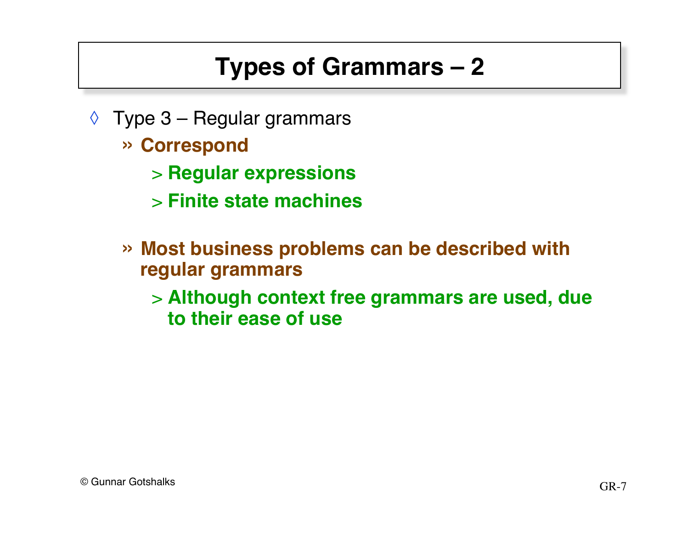# **Types of Grammars – 2**

- $\Diamond$  Type 3 Regular grammars
	- » **Correspond**
		- > **Regular expressions**
		- > **Finite state machines**
	- » **Most business problems can be described with regular grammars**
		- > **Although context free grammars are used, due to their ease of use**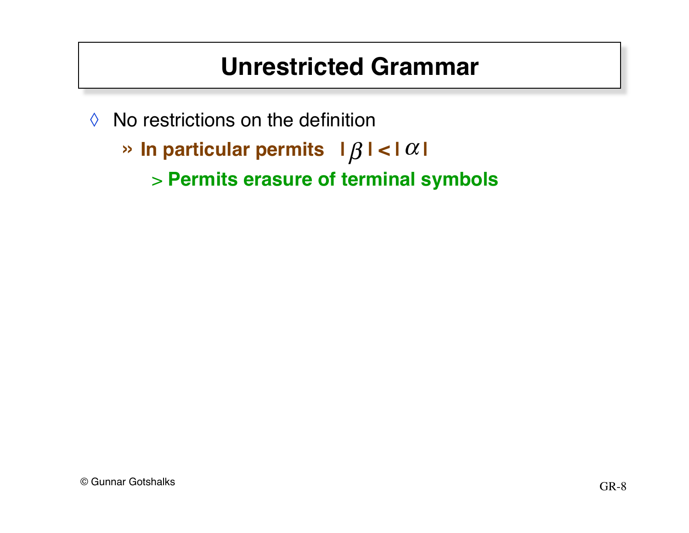### **Unrestricted Grammar**

- $\Diamond$  No restrictions on the definition
	- » In particular permits  $|\beta| < |\alpha|$ 
		- > **Permits erasure of terminal symbols**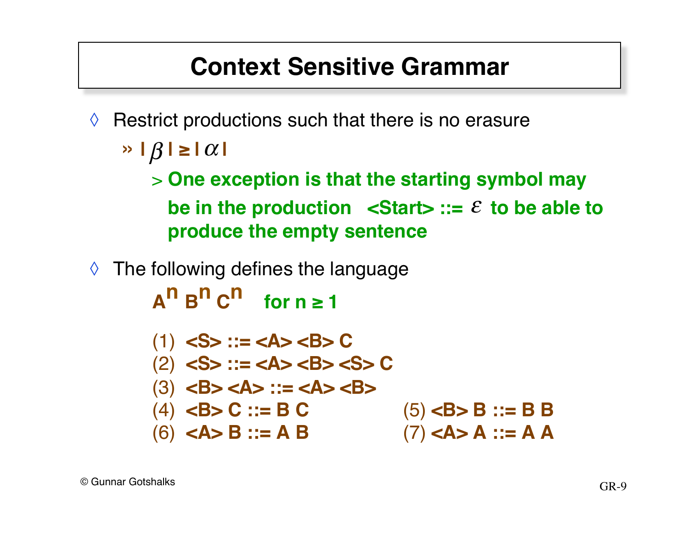#### **Context Sensitive Grammar**

- $\Diamond$  Restrict productions such that there is no erasure
	- $\rightarrow$   $|\beta| \ge |\alpha|$ 
		- > **One exception is that the starting symbol may**  be in the production  $\leq$ Start $\geq$  ::=  $\varepsilon$  to be able to **produce the empty sentence**
- ◊ The following defines the language

 $A^n B^n C^n$  for  $n \ge 1$ 

\n- (1) 
$$
\langle
$$
S > ::=  $\langle$ A >  $\langle$ B > C
\n- (2)  $\langle$ S > ::=  $\langle$ A >  $\langle$ B >  $\langle$ S > C
\n- (3)  $\langle$ B >  $\langle$ A > ::=  $\langle$ A >  $\langle$ B >  $\langle$ B >  $\langle$ B > C ::= B C
\n- (4)  $\langle$ B > C ::= B C
\n- (5)  $\langle$ B > B ::= B B
\n- (6)  $\langle$ A > B ::= A B
\n- (7)  $\langle$ A > A ::= A A
\n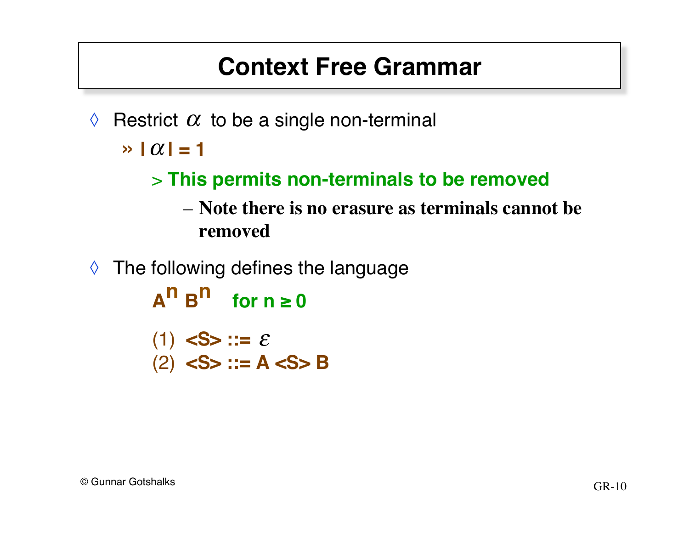#### **Context Free Grammar**

 $\Diamond$  Restrict  $\alpha$  to be a single non-terminal

 $\rightarrow$   $|\alpha|$  = 1

#### > **This permits non-terminals to be removed**

- **Note there is no erasure as terminals cannot be removed**
- $\Diamond$  The following defines the language

 $A^h$  B<sup>n</sup> **for**  $n \ge 0$  $(1)$  <S> ::=  $\varepsilon$ 

(2) **<S> ::= A <S> B**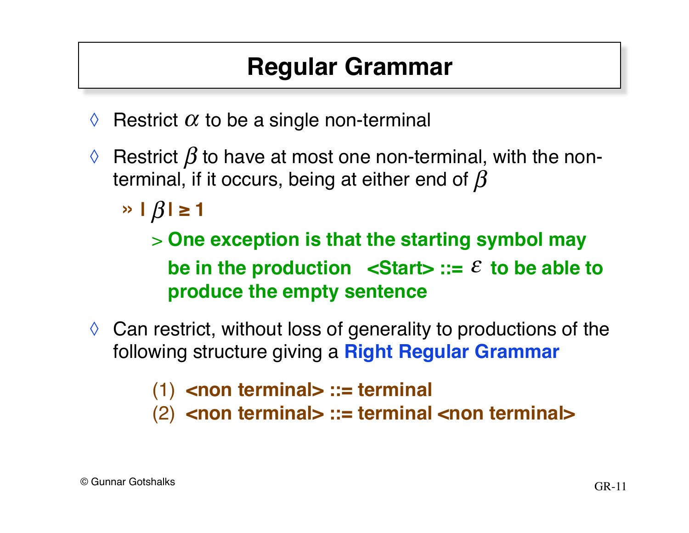## **Regular Grammar**

- $\Diamond$  Restrict  $\alpha$  to be a single non-terminal
- $\Diamond~$  Restrict  $\beta$  to have at most one non-terminal, with the nonterminal, if it occurs, being at either end of  $\beta$ 
	- $\frac{1}{\beta}$  |  $\frac{1}{\beta}$  | ≥ 1

> **One exception is that the starting symbol may**  be in the production  $\leq$ Start $\geq$  ::=  $\varepsilon$  to be able to **produce the empty sentence**

 $\Diamond$  Can restrict, without loss of generality to productions of the following structure giving a **Right Regular Grammar**

(1) **<non terminal> ::= terminal**

(2) **<non terminal> ::= terminal <non terminal>**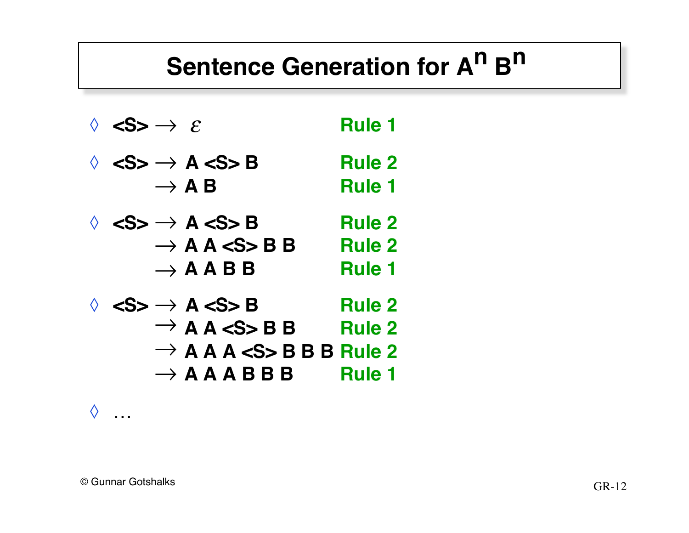# **Sentence Generation for A<sup>n</sup> B<sup>n</sup>**

| $\Diamond \iff \Rightarrow \varepsilon$                                                                                                                                                                           | <b>Rule 1</b>                                   |
|-------------------------------------------------------------------------------------------------------------------------------------------------------------------------------------------------------------------|-------------------------------------------------|
| $\Diamond$ <s> <math>\rightarrow</math> A <s> B<br/><math>\rightarrow</math> A B</s></s>                                                                                                                          | <b>Rule 2</b><br><b>Rule 1</b>                  |
| $\Diamond \iff$ $\land$ $\iff$ A $\iff$ B<br>$\rightarrow$ A A $\lt$ S B B<br>$\rightarrow$ A A B B                                                                                                               | <b>Rule 2</b><br><b>Rule 2</b><br><b>Rule 1</b> |
| $\Diamond$ <s> <math>\rightarrow</math> A <s> B<br/><math>\rightarrow</math> A A <math>\lt</math>S&gt;BB<br/><math>\rightarrow</math> A A A <s> B B B Rule 2<br/><math>\rightarrow</math> A A A B B B</s></s></s> | <b>Rule 2</b><br><b>Rule 2</b><br><b>Rule 1</b> |

 $\Diamond$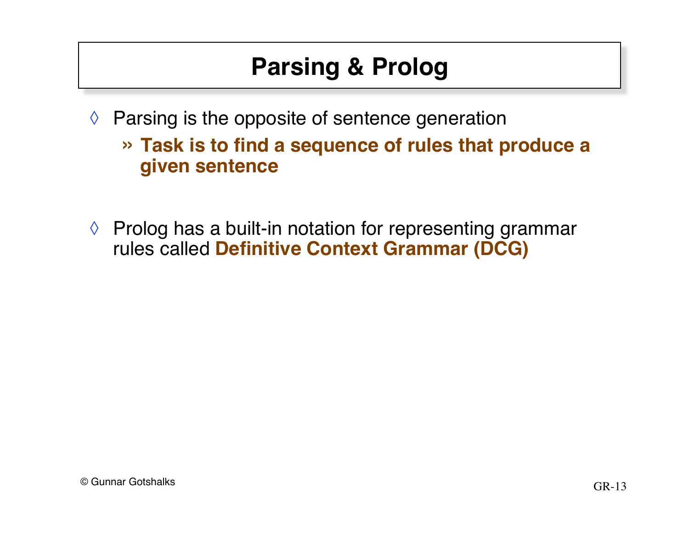# **Parsing & Prolog**

- $\Diamond$  Parsing is the opposite of sentence generation
	- » **Task is to find a sequence of rules that produce a given sentence**
- ◊ Prolog has a built-in notation for representing grammar rules called **Definitive Context Grammar (DCG)**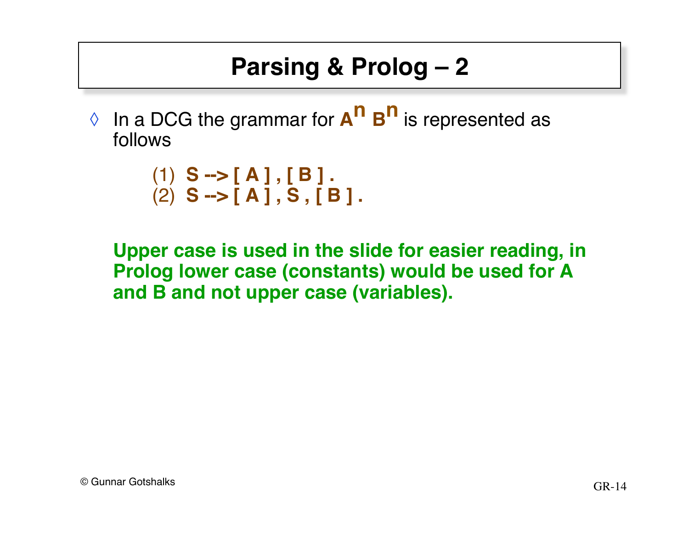# **Parsing & Prolog – 2**

◊ In a DCG the grammar for **An Bn** is represented as follows

```
(1) S --> [A], [B].
(2) S --> [ A ] , S , [ B ] .
```
**Upper case is used in the slide for easier reading, in Prolog lower case (constants) would be used for A and B and not upper case (variables).**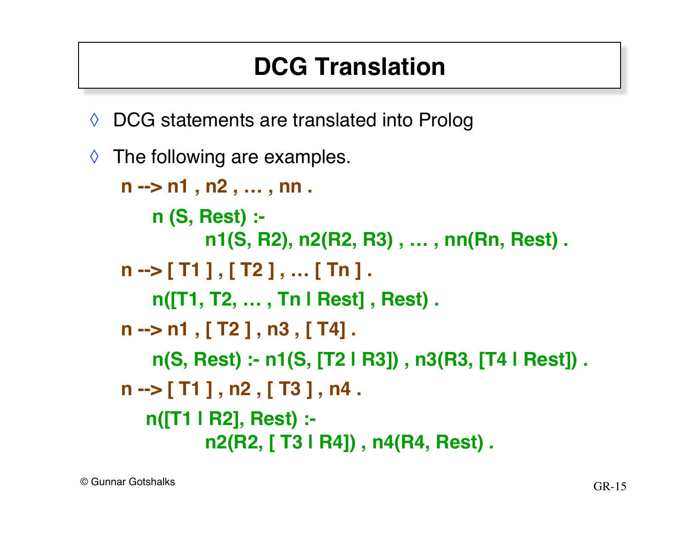# **DCG Translation**

◊ DCG statements are translated into Prolog

```
\Diamond The following are examples.
   n --> n1 , n2 , … , nn .
        n (S, Rest) :-
               n1(S, R2), n2(R2, R3) , … , nn(Rn, Rest) .
   n --> [ T1 ] , [ T2 ] , … [ Tn ] .
        n([T1, T2, … , Tn | Rest] , Rest) .
    n --> n1 , [ T2 ] , n3 , [ T4] .
        n(S, Rest) :- n1(S, [T2 | R3]) , n3(R3, [T4 | Rest]) .
   n --> [ T1 ] , n2 , [ T3 ] , n4 .
       n([T1 | R2], Rest) :-
               n2(R2, [ T3 | R4]) , n4(R4, Rest) .
```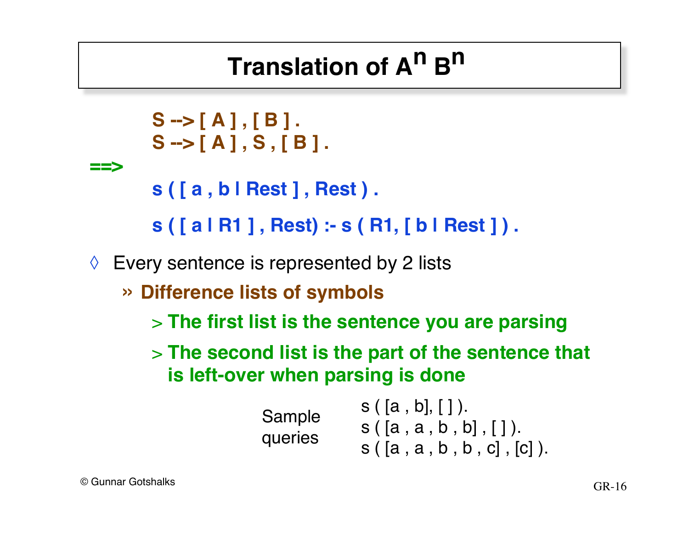# **Translation of An Bn**

```
S --> [ A ] , [ B ] .
       S --> [ A ] , S , [ B ] .
==>
       s ( [ a , b | Rest ] , Rest ) .
       s ( [ a | R1 ] , Rest) :- s ( R1, [ b | Rest ] ) .
\Diamond Every sentence is represented by 2 lists
    » Difference lists of symbols
       > The first list is the sentence you are parsing
       > The second list is the part of the sentence that 
         is left-over when parsing is done
                                  s([a, b], []).s([a, a, b, b], [].
                     Sample
                     queries
```
 $s([a, a, b, b, c], [c]).$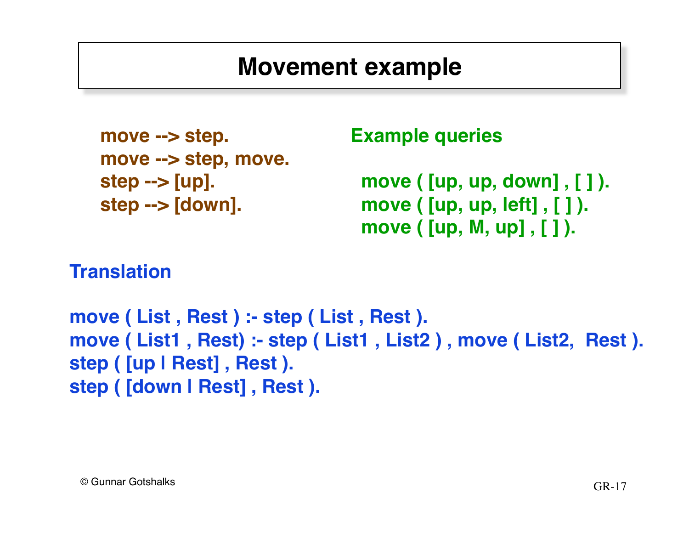#### **Movement example**

```
move --> step.
move --> step, move.
step --> [up].
step --> [down].
```
**Example queries**

 **move ( [up, up, down] , [ ] ). move ( [up, up, left] , [ ] ). move ( [up, M, up] , [ ] ).**

#### **Translation**

**move ( List , Rest ) :- step ( List , Rest ). move ( List1 , Rest) :- step ( List1 , List2 ) , move ( List2, Rest ). step ( [up | Rest] , Rest ). step ( [down | Rest] , Rest ).**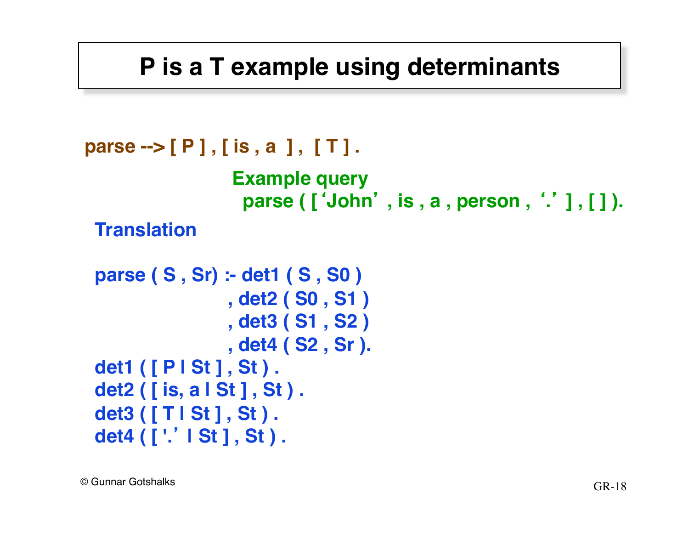#### **P is a T example using determinants**

```
parse --> [ P ] , [ is , a ] , [ T ] .
 Translation
                  Example query
                     parse ( ['John' , is , a , person , '.' ] , [ ] ).
```

```
parse ( S , Sr) :- det1 ( S , S0 )
                   , det2 ( S0 , S1 )
                   , det3 ( S1 , S2 )
                   , det4 ( S2 , Sr ).
det1 ( [ P | St ] , St ) .
det2 ( [ is, a | St ] , St ) .
det3 ( [ T | St ] , St ) .
det4 ( [ '.' | St ] , St ) .
```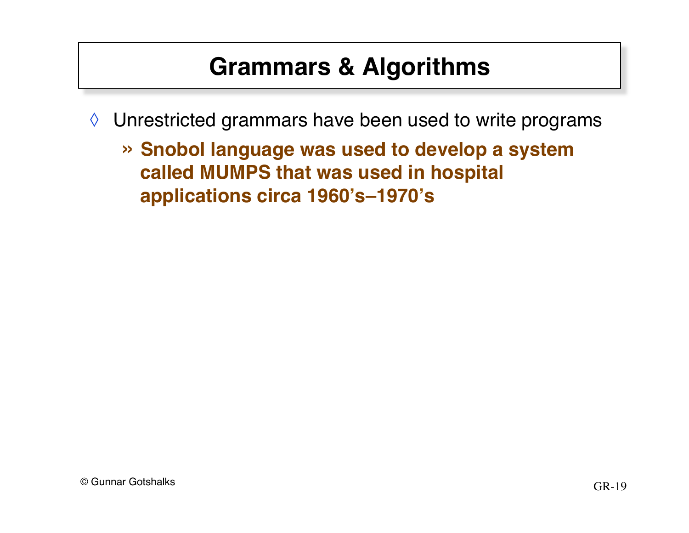### **Grammars & Algorithms**

- ◊ Unrestricted grammars have been used to write programs
	- » **Snobol language was used to develop a system called MUMPS that was used in hospital applications circa 1960's–1970's**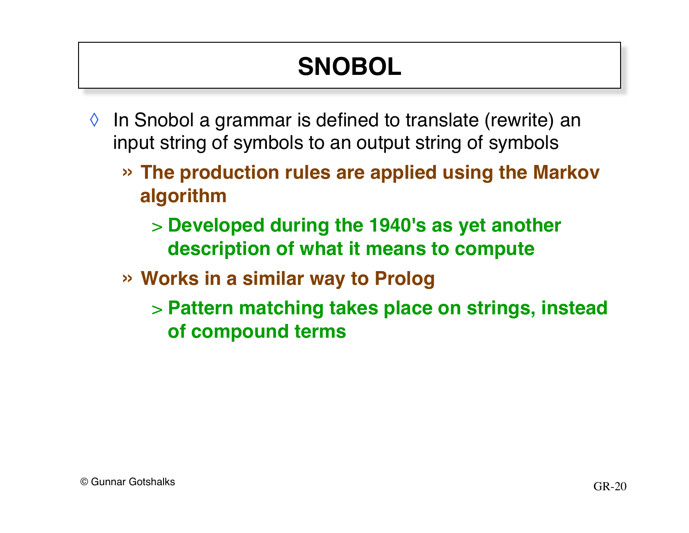# **SNOBOL**

- $\Diamond$  In Snobol a grammar is defined to translate (rewrite) an input string of symbols to an output string of symbols
	- » **The production rules are applied using the Markov algorithm**
		- > **Developed during the 1940's as yet another description of what it means to compute**
	- » **Works in a similar way to Prolog**
		- > **Pattern matching takes place on strings, instead of compound terms**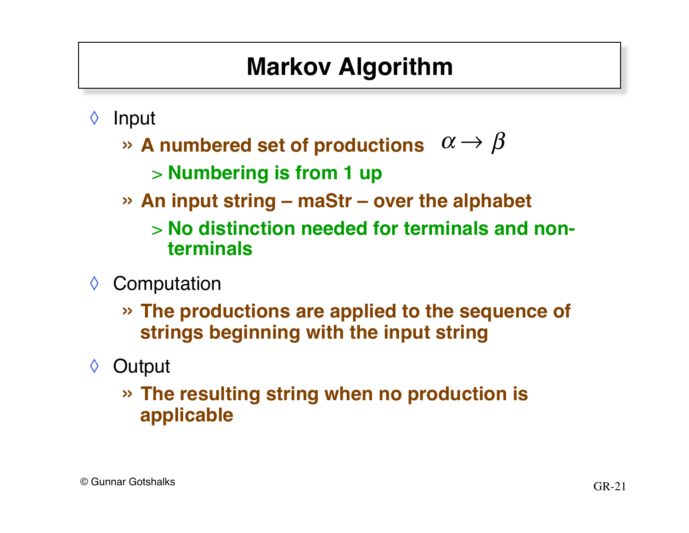# **Markov Algorithm**

- ◊ Input
	- $\gg$  A numbered set of productions  $\alpha \rightarrow \beta$

> **Numbering is from 1 up**

- » **An input string – maStr over the alphabet**
	- > **No distinction needed for terminals and nonterminals**
- ◊ Computation
	- » **The productions are applied to the sequence of strings beginning with the input string**
- ◊ Output
	- » **The resulting string when no production is applicable**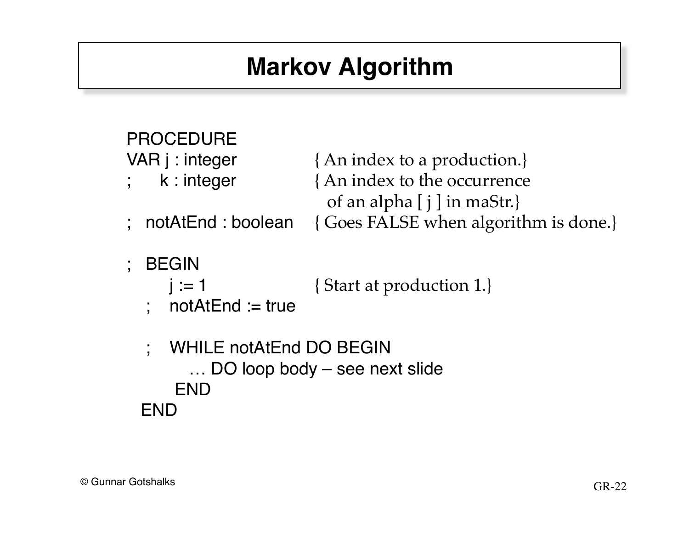# **Markov Algorithm**

| <b>PROCEDURE</b><br>VAR j : integer                      | {An index to a production.}                                 |  |
|----------------------------------------------------------|-------------------------------------------------------------|--|
| k : integer                                              | {An index to the occurrence<br>of an alpha $[j]$ in maStr.} |  |
| : notAtEnd : boolean                                     | { Goes FALSE when algorithm is done.}                       |  |
| ; BEGIN<br>$i := 1$<br>$notAtEnd := true$                | {Start at production 1.}                                    |  |
| WHILE notAtEnd DO BEGIN<br>DO loop body – see next slide |                                                             |  |

END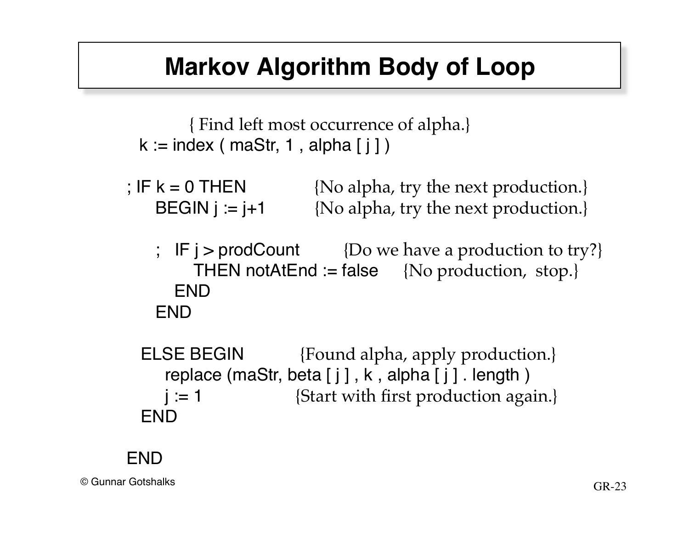#### **Markov Algorithm Body of Loop**

 { Find left most occurrence of alpha.}  $k := index ( mask, 1, alpha[i])$ 

; IF  $k = 0$  THEN  ${No alpha, try the next production.}$ BEGIN  $j := j+1$  {No alpha, try the next production.}

; IF  $j >$  prodCount {Do we have a production to try?} THEN notAtEnd := false {No production, stop.} **FND** END

ELSE BEGIN {Found alpha, apply production.} replace (maStr, beta  $[j]$ , k, alpha  $[j]$ . length)  $j := 1$  {Start with first production again.} END

#### END

 $\odot$  Gunnar Gotshalks GR-23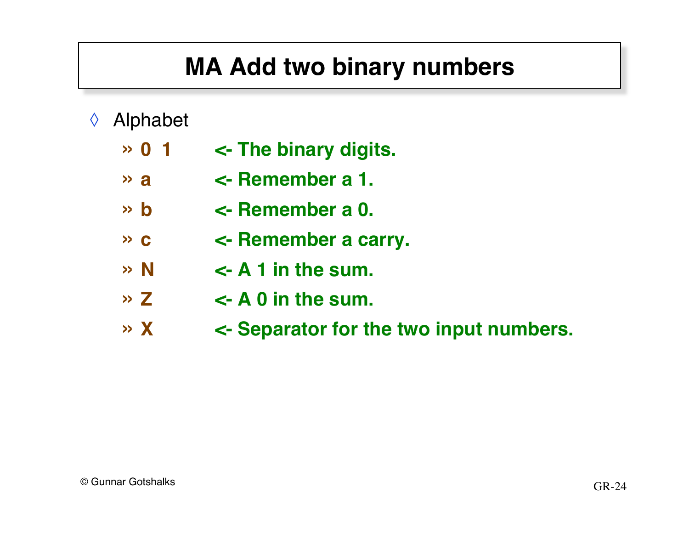# **MA Add two binary numbers**

- ◊ Alphabet
	- » **0 1 <- The binary digits.**
	- » **a <- Remember a 1.**
	- » **b <- Remember a 0.**
	- » **c <- Remember a carry.**
	- $\rightarrow$  N  $\leftarrow$  A 1 in the sum.
	- $\rightarrow$  **Z**  $\rightarrow$  **A** 0 in the sum.
	- » **X <- Separator for the two input numbers.**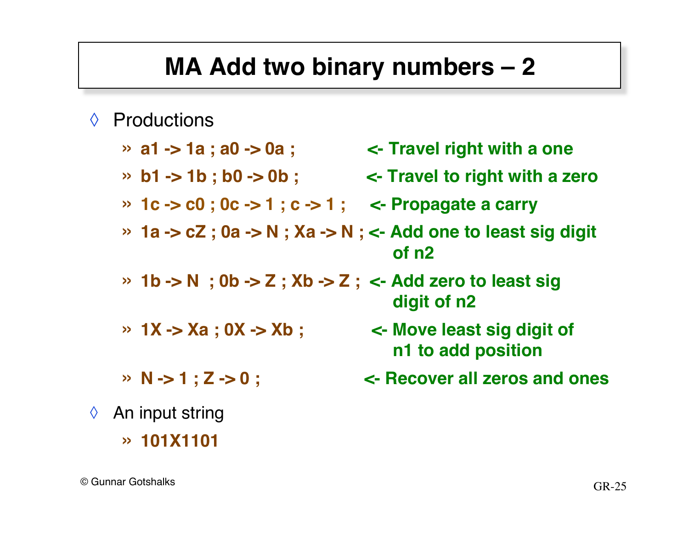#### **MA Add two binary numbers – 2**

- ◊ Productions
	- » **a1 -> 1a ; a0 -> 0a ; <- Travel right with a one**
	- » **b1 -> 1b ; b0 -> 0b ; <- Travel to right with a zero**
	- » **1c -> c0 ; 0c -> 1 ; c -> 1 ; <- Propagate a carry**
	- » **1a -> cZ ; 0a -> N ; Xa -> N ; <- Add one to least sig digit !!! of n2**
	- » **1b -> N ; 0b -> Z ; Xb -> Z ; <- Add zero to least sig !!! digit of n2**
	-
	-
- ◊ An input string
	- » **101X1101**
- » **1X -> Xa ; 0X -> Xb ; <- Move least sig digit of !!! n1 to add position**
- » **N -> 1 ; Z -> 0 ; <- Recover all zeros and ones**